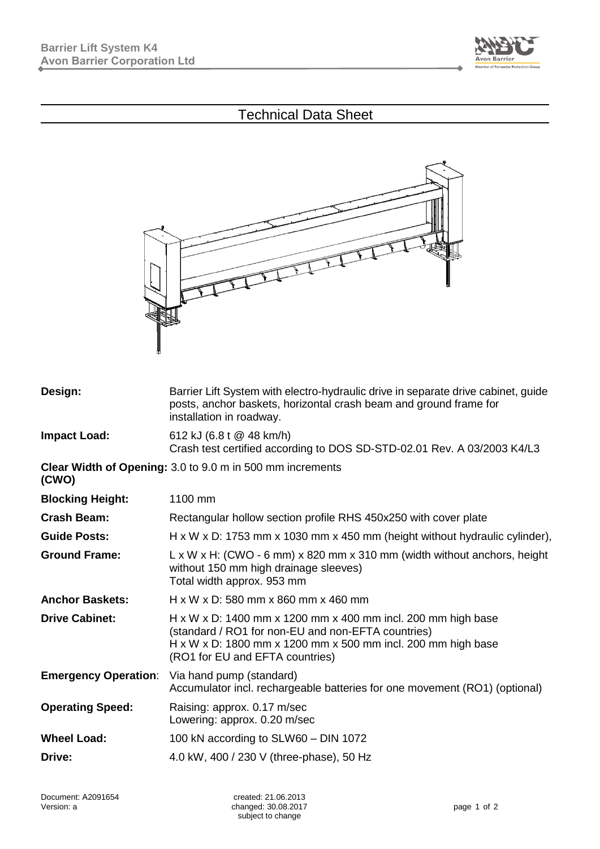

## Technical Data Sheet



| Design:                     | Barrier Lift System with electro-hydraulic drive in separate drive cabinet, guide<br>posts, anchor baskets, horizontal crash beam and ground frame for<br>installation in roadway.                                    |  |
|-----------------------------|-----------------------------------------------------------------------------------------------------------------------------------------------------------------------------------------------------------------------|--|
| <b>Impact Load:</b>         | 612 kJ (6.8 t @ 48 km/h)<br>Crash test certified according to DOS SD-STD-02.01 Rev. A 03/2003 K4/L3                                                                                                                   |  |
| (CWO)                       | Clear Width of Opening: 3.0 to 9.0 m in 500 mm increments                                                                                                                                                             |  |
| <b>Blocking Height:</b>     | 1100 mm                                                                                                                                                                                                               |  |
| <b>Crash Beam:</b>          | Rectangular hollow section profile RHS 450x250 with cover plate                                                                                                                                                       |  |
| <b>Guide Posts:</b>         | $H \times W \times D$ : 1753 mm $\times$ 1030 mm $\times$ 450 mm (height without hydraulic cylinder),                                                                                                                 |  |
| <b>Ground Frame:</b>        | $L \times W \times H$ : (CWO - 6 mm) $\times$ 820 mm $\times$ 310 mm (width without anchors, height<br>without 150 mm high drainage sleeves)<br>Total width approx. 953 mm                                            |  |
| <b>Anchor Baskets:</b>      | H x W x D: 580 mm x 860 mm x 460 mm                                                                                                                                                                                   |  |
| <b>Drive Cabinet:</b>       | H x W x D: 1400 mm x 1200 mm x 400 mm incl. 200 mm high base<br>(standard / RO1 for non-EU and non-EFTA countries)<br>H x W x D: 1800 mm x 1200 mm x 500 mm incl. 200 mm high base<br>(RO1 for EU and EFTA countries) |  |
| <b>Emergency Operation:</b> | Via hand pump (standard)<br>Accumulator incl. rechargeable batteries for one movement (RO1) (optional)                                                                                                                |  |
| <b>Operating Speed:</b>     | Raising: approx. 0.17 m/sec<br>Lowering: approx. 0.20 m/sec                                                                                                                                                           |  |
| <b>Wheel Load:</b>          | 100 kN according to SLW60 - DIN 1072                                                                                                                                                                                  |  |
| Drive:                      | 4.0 kW, 400 / 230 V (three-phase), 50 Hz                                                                                                                                                                              |  |